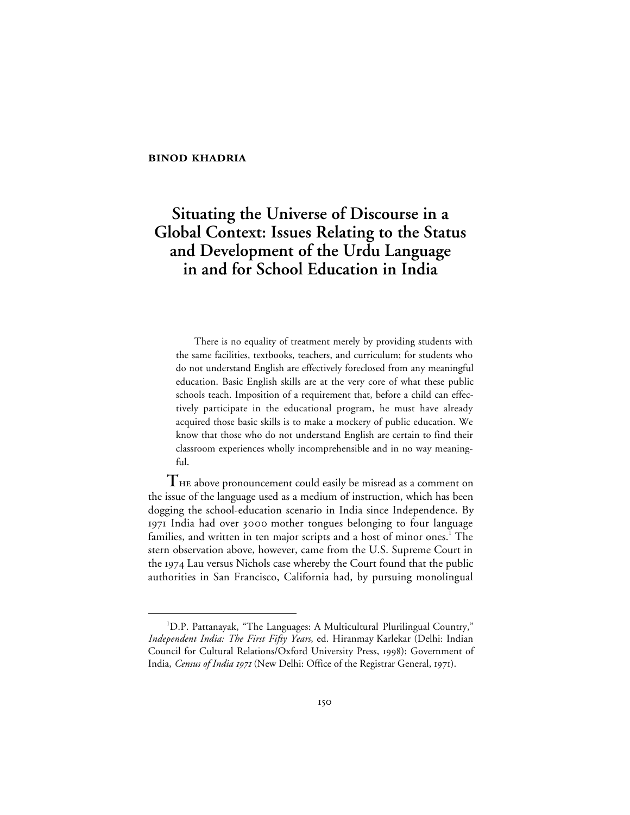## **BINOD KHADRIA**

# **Situating the Universe of Discourse in a Global Context: Issues Relating to the Status and Development of the Urdu Language in and for School Education in India**

There is no equality of treatment merely by providing students with the same facilities, textbooks, teachers, and curriculum; for students who do not understand English are effectively foreclosed from any meaningful education. Basic English skills are at the very core of what these public schools teach. Imposition of a requirement that, before a child can effectively participate in the educational program, he must have already acquired those basic skills is to make a mockery of public education. We know that those who do not understand English are certain to find their classroom experiences wholly incomprehensible and in no way meaningful.

**T** above pronouncement could easily be misread as a comment on the issue of the language used as a medium of instruction, which has been dogging the school-education scenario in India since Independence. By 1971 India had over 3000 mother tongues belonging to four language families, and written in ten major scripts and a host of minor ones.<sup>1</sup> The stern observation above, however, came from the U.S. Supreme Court in the 1974 Lau versus Nichols case whereby the Court found that the public authorities in San Francisco, California had, by pursuing monolingual

 $\overline{\phantom{a}}$ <sup>1</sup>D.P. Pattanayak, "The Languages: A Multicultural Plurilingual Country," *Independent India: The First Fifty Years*, ed. Hiranmay Karlekar (Delhi: Indian Council for Cultural Relations/Oxford University Press, 1998); Government of India, *Census of India 1971* (New Delhi: Office of the Registrar General, 1971).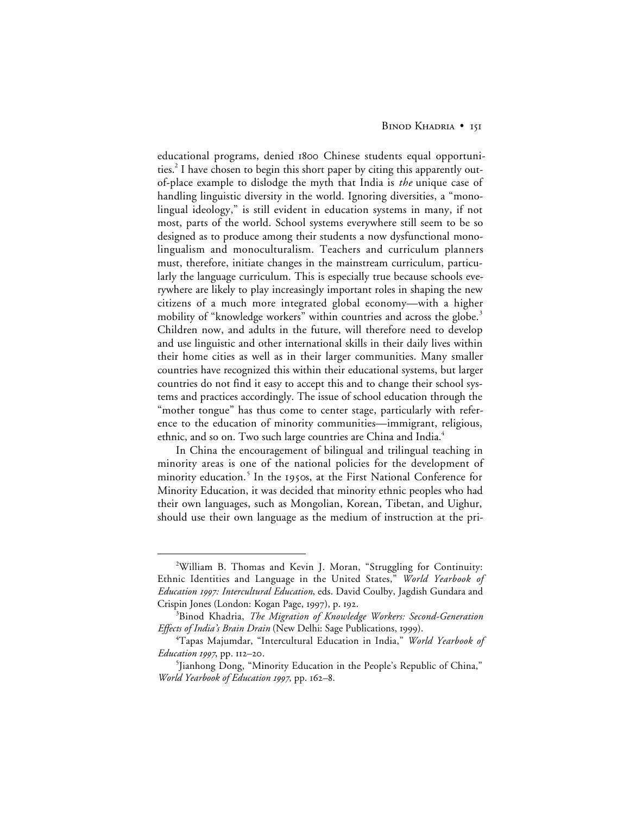#### BINOD KHADRIA • 151

educational programs, denied 1800 Chinese students equal opportunities.<sup>2</sup> I have chosen to begin this short paper by citing this apparently outof-place example to dislodge the myth that India is *the* unique case of handling linguistic diversity in the world. Ignoring diversities, a "monolingual ideology," is still evident in education systems in many, if not most, parts of the world. School systems everywhere still seem to be so designed as to produce among their students a now dysfunctional monolingualism and monoculturalism. Teachers and curriculum planners must, therefore, initiate changes in the mainstream curriculum, particularly the language curriculum. This is especially true because schools everywhere are likely to play increasingly important roles in shaping the new citizens of a much more integrated global economy—with a higher mobility of "knowledge workers" within countries and across the globe.<sup>3</sup> Children now, and adults in the future, will therefore need to develop and use linguistic and other international skills in their daily lives within their home cities as well as in their larger communities. Many smaller countries have recognized this within their educational systems, but larger countries do not find it easy to accept this and to change their school systems and practices accordingly. The issue of school education through the "mother tongue" has thus come to center stage, particularly with reference to the education of minority communities—immigrant, religious, ethnic, and so on. Two such large countries are China and India.<sup>4</sup>

In China the encouragement of bilingual and trilingual teaching in minority areas is one of the national policies for the development of minority education.<sup>5</sup> In the 1950s, at the First National Conference for Minority Education, it was decided that minority ethnic peoples who had their own languages, such as Mongolian, Korean, Tibetan, and Uighur, should use their own language as the medium of instruction at the pri-

 $\overline{a}$ William B. Thomas and Kevin J. Moran, "Struggling for Continuity: Ethnic Identities and Language in the United States," *World Yearbook of Education : Intercultural Education*, eds. David Coulby, Jagdish Gundara and Crispin Jones (London: Kogan Page, 1997), p. 192.

<sup>3</sup> Binod Khadria, *The Migration of Knowledge Workers: Second-Generation* Effects of India's Brain Drain (New Delhi: Sage Publications, 1999).

<sup>4</sup> Tapas Majumdar, "Intercultural Education in India," *World Yearbook of Education 1997*, pp. 112–20.

<sup>5</sup> Jianhong Dong, "Minority Education in the People's Republic of China," *World Yearbook of Education 1997*, pp. 162–8.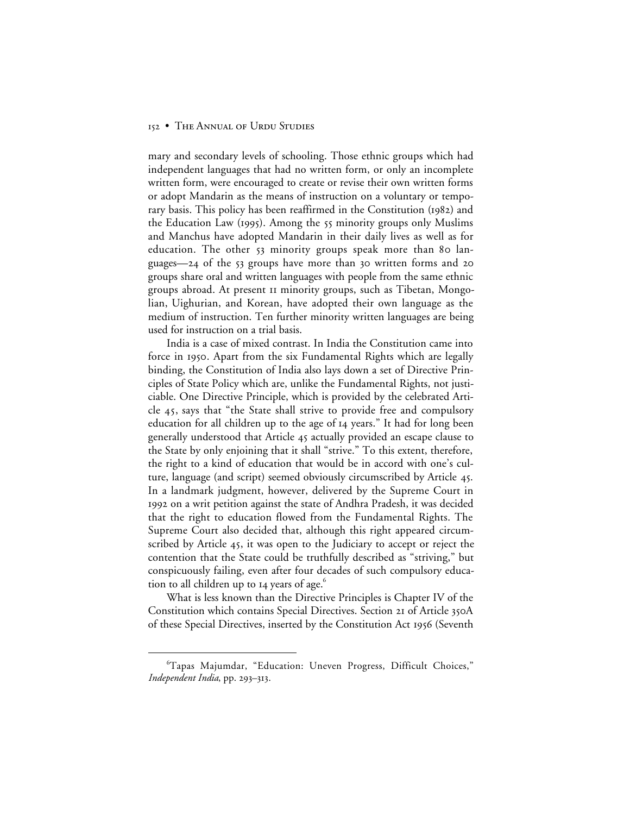## 152 • THE ANNUAL OF URDU STUDIES

mary and secondary levels of schooling. Those ethnic groups which had independent languages that had no written form, or only an incomplete written form, were encouraged to create or revise their own written forms or adopt Mandarin as the means of instruction on a voluntary or temporary basis. This policy has been reaffirmed in the Constitution (1982) and the Education Law (1995). Among the 55 minority groups only Muslims and Manchus have adopted Mandarin in their daily lives as well as for education. The other 53 minority groups speak more than 80 languages— $24$  of the  $53$  groups have more than  $30$  written forms and  $20$ groups share oral and written languages with people from the same ethnic groups abroad. At present minority groups, such as Tibetan, Mongolian, Uighurian, and Korean, have adopted their own language as the medium of instruction. Ten further minority written languages are being used for instruction on a trial basis.

India is a case of mixed contrast. In India the Constitution came into force in 1950. Apart from the six Fundamental Rights which are legally binding, the Constitution of India also lays down a set of Directive Principles of State Policy which are, unlike the Fundamental Rights, not justiciable. One Directive Principle, which is provided by the celebrated Article 45, says that "the State shall strive to provide free and compulsory education for all children up to the age of 14 years." It had for long been generally understood that Article 45 actually provided an escape clause to the State by only enjoining that it shall "strive." To this extent, therefore, the right to a kind of education that would be in accord with one's culture, language (and script) seemed obviously circumscribed by Article 45. In a landmark judgment, however, delivered by the Supreme Court in 1992 on a writ petition against the state of Andhra Pradesh, it was decided that the right to education flowed from the Fundamental Rights. The Supreme Court also decided that, although this right appeared circumscribed by Article 45, it was open to the Judiciary to accept or reject the contention that the State could be truthfully described as "striving," but conspicuously failing, even after four decades of such compulsory education to all children up to  $I_4$  years of age. $^6$ 

What is less known than the Directive Principles is Chapter IV of the Constitution which contains Special Directives. Section 21 of Article 350A of these Special Directives, inserted by the Constitution Act 1956 (Seventh

 <sup>6</sup> Tapas Majumdar, "Education: Uneven Progress, Difficult Choices," *Independent India*, pp. 293-313.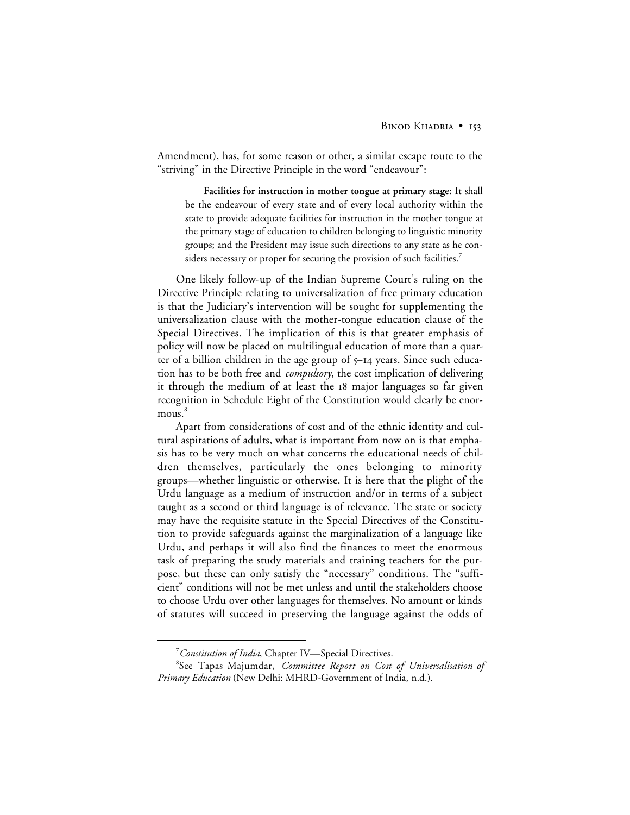Amendment), has, for some reason or other, a similar escape route to the "striving" in the Directive Principle in the word "endeavour":

**Facilities for instruction in mother tongue at primary stage:** It shall be the endeavour of every state and of every local authority within the state to provide adequate facilities for instruction in the mother tongue at the primary stage of education to children belonging to linguistic minority groups; and the President may issue such directions to any state as he considers necessary or proper for securing the provision of such facilities.<sup>7</sup>

One likely follow-up of the Indian Supreme Court's ruling on the Directive Principle relating to universalization of free primary education is that the Judiciary's intervention will be sought for supplementing the universalization clause with the mother-tongue education clause of the Special Directives. The implication of this is that greater emphasis of policy will now be placed on multilingual education of more than a quarter of a billion children in the age group of 5–14 years. Since such education has to be both free and *compulsory*, the cost implication of delivering it through the medium of at least the 18 major languages so far given recognition in Schedule Eight of the Constitution would clearly be enormous.<sup>8</sup>

Apart from considerations of cost and of the ethnic identity and cultural aspirations of adults, what is important from now on is that emphasis has to be very much on what concerns the educational needs of children themselves, particularly the ones belonging to minority groups—whether linguistic or otherwise. It is here that the plight of the Urdu language as a medium of instruction and/or in terms of a subject taught as a second or third language is of relevance. The state or society may have the requisite statute in the Special Directives of the Constitution to provide safeguards against the marginalization of a language like Urdu, and perhaps it will also find the finances to meet the enormous task of preparing the study materials and training teachers for the purpose, but these can only satisfy the "necessary" conditions. The "sufficient" conditions will not be met unless and until the stakeholders choose to choose Urdu over other languages for themselves. No amount or kinds of statutes will succeed in preserving the language against the odds of

 $\frac{1}{7}$ *Constitution of India*, Chapter IV—Special Directives.

<sup>8</sup> See Tapas Majumdar, *Committee Report on Cost of Universalisation of Primary Education* (New Delhi: MHRD-Government of India, n.d.).